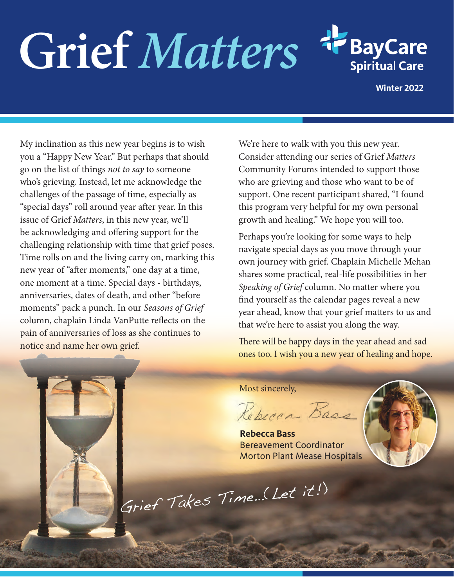# Grief Matters



**Winter 2022**

My inclination as this new year begins is to wish you a "Happy New Year." But perhaps that should go on the list of things *not to say* to someone who's grieving. Instead, let me acknowledge the challenges of the passage of time, especially as "special days" roll around year after year. In this issue of Grief *Matters*, in this new year, we'll be acknowledging and offering support for the challenging relationship with time that grief poses. Time rolls on and the living carry on, marking this new year of "after moments," one day at a time, one moment at a time. Special days - birthdays, anniversaries, dates of death, and other "before moments" pack a punch. In our *Seasons of Grief* column, chaplain Linda VanPutte reflects on the pain of anniversaries of loss as she continues to notice and name her own grief.

We're here to walk with you this new year. Consider attending our series of Grief *Matters*  Community Forums intended to support those who are grieving and those who want to be of support. One recent participant shared, "I found this program very helpful for my own personal growth and healing." We hope you will too.

Perhaps you're looking for some ways to help navigate special days as you move through your own journey with grief. Chaplain Michelle Mehan shares some practical, real-life possibilities in her *Speaking of Grief* column. No matter where you find yourself as the calendar pages reveal a new year ahead, know that your grief matters to us and that we're here to assist you along the way.

There will be happy days in the year ahead and sad ones too. I wish you a new year of healing and hope.

Most sincerely,

Rebecca Base

**Rebecca Bass** Bereavement Coordinator Morton Plant Mease Hospitals

Grief Takes Time…(Let it!)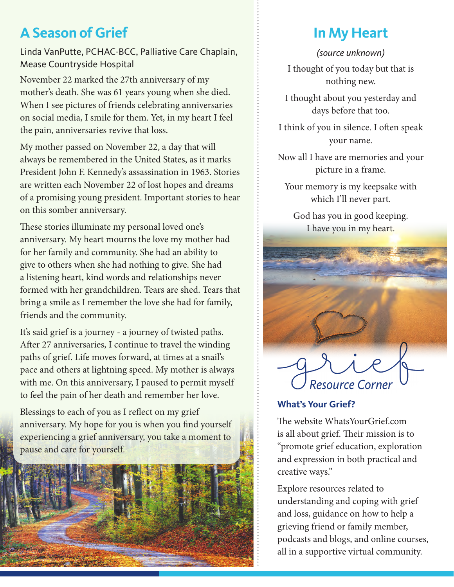# **A Season of Grief**

Linda VanPutte, PCHAC-BCC, Palliative Care Chaplain, Mease Countryside Hospital

November 22 marked the 27th anniversary of my mother's death. She was 61 years young when she died. When I see pictures of friends celebrating anniversaries on social media, I smile for them. Yet, in my heart I feel the pain, anniversaries revive that loss.

My mother passed on November 22, a day that will always be remembered in the United States, as it marks President John F. Kennedy's assassination in 1963. Stories are written each November 22 of lost hopes and dreams of a promising young president. Important stories to hear on this somber anniversary.

These stories illuminate my personal loved one's anniversary. My heart mourns the love my mother had for her family and community. She had an ability to give to others when she had nothing to give. She had a listening heart, kind words and relationships never formed with her grandchildren. Tears are shed. Tears that bring a smile as I remember the love she had for family, friends and the community.

It's said grief is a journey - a journey of twisted paths. After 27 anniversaries, I continue to travel the winding paths of grief. Life moves forward, at times at a snail's pace and others at lightning speed. My mother is always with me. On this anniversary, I paused to permit myself to feel the pain of her death and remember her love.

Blessings to each of you as I reflect on my grief anniversary. My hope for you is when you find yourself experiencing a grief anniversary, you take a moment to pause and care for yourself.



# **In My Heart**

*(source unknown)* I thought of you today but that is nothing new.

I thought about you yesterday and days before that too.

I think of you in silence. I often speak your name.

Now all I have are memories and your picture in a frame.

Your memory is my keepsake with which I'll never part.

God has you in good keeping. I have you in my heart.



### **What's Your Grief?**

The website WhatsYourGrief.com is all about grief. Their mission is to "promote grief education, exploration and expression in both practical and creative ways."

Explore resources related to understanding and coping with grief and loss, guidance on how to help a grieving friend or family member, podcasts and blogs, and online courses, all in a supportive virtual community.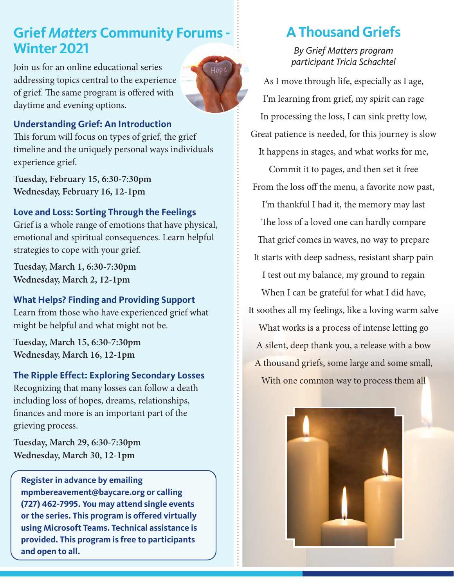## **Grief** *Matters* **Community Forums - Winter 2021**

Join us for an online educational series addressing topics central to the experience of grief. The same program is offered with daytime and evening options.



#### **Understanding Grief: An Introduction**

This forum will focus on types of grief, the grief timeline and the uniquely personal ways individuals experience grief.

**Tuesday, February 15, 6:30-7:30pm Wednesday, February 16, 12-1pm**

#### **Love and Loss: Sorting Through the Feelings**

Grief is a whole range of emotions that have physical, emotional and spiritual consequences. Learn helpful strategies to cope with your grief.

**Tuesday, March 1, 6:30-7:30pm Wednesday, March 2, 12-1pm**

#### **What Helps? Finding and Providing Support**

Learn from those who have experienced grief what might be helpful and what might not be.

**Tuesday, March 15, 6:30-7:30pm Wednesday, March 16, 12-1pm**

#### **The Ripple Effect: Exploring Secondary Losses**

Recognizing that many losses can follow a death including loss of hopes, dreams, relationships, finances and more is an important part of the grieving process.

**Tuesday, March 29, 6:30-7:30pm Wednesday, March 30, 12-1pm**

**Register in advance by emailing mpmbereavement@baycare.org or calling (727) 462-7995. You may attend single events or the series. This program is offered virtually using Microsoft Teams. Technical assistance is provided. This program is free to participants and open to all.**

# **A Thousand Griefs**

*By Grief Matters program participant Tricia Schachtel*

As I move through life, especially as I age, I'm learning from grief, my spirit can rage In processing the loss, I can sink pretty low, Great patience is needed, for this journey is slow

It happens in stages, and what works for me,

Commit it to pages, and then set it free From the loss off the menu, a favorite now past,

I'm thankful I had it, the memory may last The loss of a loved one can hardly compare

That grief comes in waves, no way to prepare It starts with deep sadness, resistant sharp pain

I test out my balance, my ground to regain

When I can be grateful for what I did have, It soothes all my feelings, like a loving warm salve What works is a process of intense letting go A silent, deep thank you, a release with a bow A thousand griefs, some large and some small, With one common way to process them all